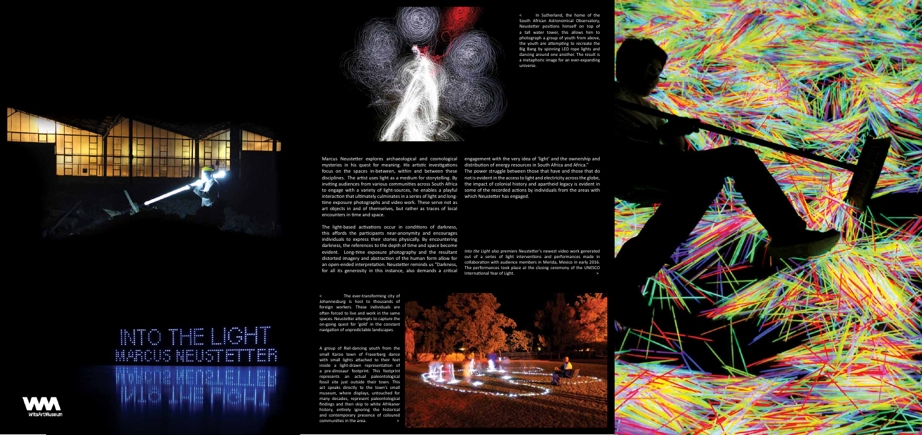





mysteries in his quest for meaning. His artistic investigations distribution of energy resources in South Africa and Africa." interaction that ultimately culminates in a series of light and long-which Neustetter has engaged. time exposure photographs and video work. These serve not as art objects in and of themselves, but rather as traces of local encounters in time and space.

Marcus Neustetter explores archaeological and cosmological engagement with the very idea of 'light' and the ownership and focus on the spaces in-between, within and between these The power struggle between those that have and those that do disciplines. The artist uses light as a medium for storytelling. By not is evident in the access to light and electricity across the globe, inviting audiences from various communities across South Africa the impact of colonial history and apartheid legacy is evident in to engage with a variety of light-sources, he enables a playful some of the recorded actions by individuals from the areas with

> out of a series of light interventions and performances made in collaboration with audience members in Merida, Mexico in early 2016. The performances took place at the closing ceremony of the UNESCO International Year of Light.

The light-based activations occur in conditions of darkness, this affords the participants near-anonymity and encourages individuals to express their stories physically. By encountering darkness, the references to the depth of time and space become evident. Long-time exposure photography and the resultant *Into the Light* also premiers Neustetter's newest video work generated distorted imagery and abstraction of the human form allow for an open-ended interpretation. Neustetter reminds us "Darkness, for all its generosity in this instance, also demands a critical

A group of Riel-dancing youth from the small Karoo town of Fraserberg dance with small lights attached to their feet inside a light-drawn representation of a pre-dinosaur footprint. This footprint represents an actual paleontological fossil site just outside their town. This act speaks directly to the town's small museum, where displays, untouched for many decades, represent paleontological findings and then skip to white Afrikaner history, entirely ignoring the historical and contemporary presence of coloured communities in the area.





The ever-transforming city of Johannesburg is host to thousands of foreign workers. These individuals are often forced to live and work in the same spaces. Neustetter attempts to capture the on-going quest for 'gold' in the constant navigation of unpredictable landscapes.

< In Sutherland, the home of the South African Astronomical Observatory, Neustetter positions himself on top of a tall water tower, this allows him to photograph a group of youth from above, the youth are attempting to recreate the Big Bang by spinning LED rope lights and dancing around one another. The result is a metaphoric image for an ever-expanding universe.